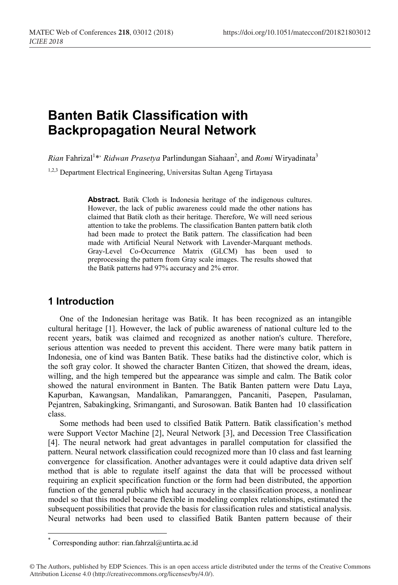# **Banten Batik Classification with Backpropagation Neural Network**

*Rian* Fahrizal<sup>1</sup>\*' *Ridwan Prasetya* Parlindungan Siahaan<sup>2</sup>, and *Romi* Wiryadinata<sup>3</sup>

1,2,3 Department Electrical Engineering, Universitas Sultan Ageng Tirtayasa

**Abstract.** Batik Cloth is Indonesia heritage of the indigenous cultures. However, the lack of public awareness could made the other nations has claimed that Batik cloth as their heritage. Therefore, We will need serious attention to take the problems. The classification Banten pattern batik cloth had been made to protect the Batik pattern. The classification had been made with Artificial Neural Network with Lavender-Marquant methods. Gray-Level Co-Occurrence Matrix (GLCM) has been used to preprocessing the pattern from Gray scale images. The results showed that the Batik patterns had 97% accuracy and 2% error.

# **1 Introduction**

One of the Indonesian heritage was Batik. It has been recognized as an intangible cultural heritage [1]. However, the lack of public awareness of national culture led to the recent years, batik was claimed and recognized as another nation's culture. Therefore, serious attention was needed to prevent this accident. There were many batik pattern in Indonesia, one of kind was Banten Batik. These batiks had the distinctive color, which is the soft gray color. It showed the character Banten Citizen, that showed the dream, ideas, willing, and the high tempered but the appearance was simple and calm. The Batik color showed the natural environment in Banten. The Batik Banten pattern were Datu Laya, Kapurban, Kawangsan, Mandalikan, Pamaranggen, Pancaniti, Pasepen, Pasulaman, Pejantren, Sabakingking, Srimanganti, and Surosowan. Batik Banten had 10 classification class.

Some methods had been used to clssified Batik Pattern. Batik classification"s method were Support Vector Machine [2], Neural Network [3], and Decession Tree Classification [4]. The neural network had great advantages in parallel computation for classified the pattern. Neural network classification could recognized more than 10 class and fast learning convergence for classification. Another advantages were it could adaptive data driven self method that is able to regulate itself against the data that will be processed without requiring an explicit specification function or the form had been distributed, the apportion function of the general public which had accuracy in the classification process, a nonlinear model so that this model became flexible in modeling complex relationships, estimated the subsequent possibilities that provide the basis for classification rules and statistical analysis. Neural networks had been used to classified Batik Banten pattern because of their

 <sup>\*</sup> Corresponding author: rian.fahrzal@untirta.ac.id

<sup>©</sup> The Authors, published by EDP Sciences. This is an open access article distributed under the terms of the Creative Commons Attribution License 4.0 (http://creativecommons.org/licenses/by/4.0/).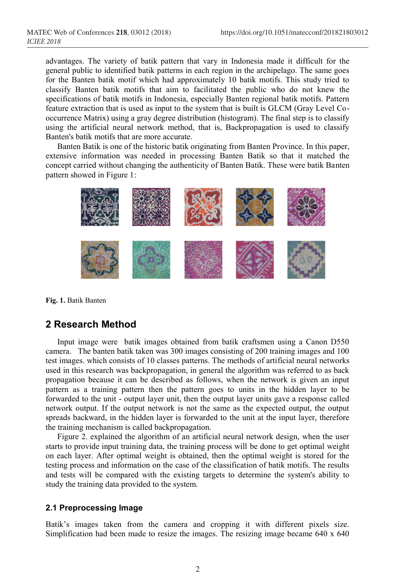advantages. The variety of batik pattern that vary in Indonesia made it difficult for the general public to identified batik patterns in each region in the archipelago. The same goes for the Banten batik motif which had approximately 10 batik motifs. This study tried to classify Banten batik motifs that aim to facilitated the public who do not knew the specifications of batik motifs in Indonesia, especially Banten regional batik motifs. Pattern feature extraction that is used as input to the system that is built is GLCM (Gray Level Cooccurrence Matrix) using a gray degree distribution (histogram). The final step is to classify using the artificial neural network method, that is, Backpropagation is used to classify Banten's batik motifs that are more accurate.

Banten Batik is one of the historic batik originating from Banten Province. In this paper, extensive information was needed in processing Banten Batik so that it matched the concept carried without changing the authenticity of Banten Batik. These were batik Banten pattern showed in Figure 1:



**Fig. 1.** Batik Banten

# **2 Research Method**

Input image were batik images obtained from batik craftsmen using a Canon D550 camera. The banten batik taken was 300 images consisting of 200 training images and 100 test images. which consists of 10 classes patterns. The methods of artificial neural networks used in this research was backpropagation, in general the algorithm was referred to as back propagation because it can be described as follows, when the network is given an input pattern as a training pattern then the pattern goes to units in the hidden layer to be forwarded to the unit - output layer unit, then the output layer units gave a response called network output. If the output network is not the same as the expected output, the output spreads backward, in the hidden layer is forwarded to the unit at the input layer, therefore the training mechanism is called backpropagation.

Figure 2. explained the algorithm of an artificial neural network design, when the user starts to provide input training data, the training process will be done to get optimal weight on each layer. After optimal weight is obtained, then the optimal weight is stored for the testing process and information on the case of the classification of batik motifs. The results and tests will be compared with the existing targets to determine the system's ability to study the training data provided to the system.

### **2.1 Preprocessing Image**

Batik's images taken from the camera and cropping it with different pixels size. Simplification had been made to resize the images. The resizing image became 640 x 640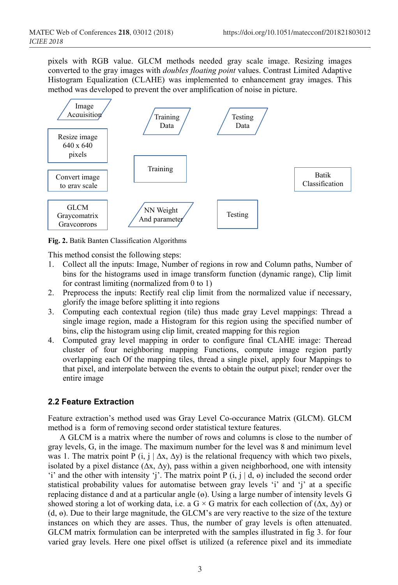pixels with RGB value. GLCM methods needed gray scale image. Resizing images converted to the gray images with *doubles floating point* values. Contrast Limited Adaptive Histogram Equalization (CLAHE) was implemented to enhancement gray images. This method was developed to prevent the over amplification of noise in picture.



**Fig. 2.** Batik Banten Classification Algorithms

This method consist the following steps:

- 1. Collect all the inputs: Image, Number of regions in row and Column paths, Number of bins for the histograms used in image transform function (dynamic range), Clip limit for contrast limiting (normalized from 0 to 1)
- 2. Preprocess the inputs: Rectify real clip limit from the normalized value if necessary, glorify the image before splitting it into regions
- 3. Computing each contextual region (tile) thus made gray Level mappings: Thread a single image region, made a Histogram for this region using the specified number of bins, clip the histogram using clip limit, created mapping for this region
- 4. Computed gray level mapping in order to configure final CLAHE image: Theread cluster of four neighboring mapping Functions, compute image region partly overlapping each Of the mapping tiles, thread a single pixel, apply four Mappings to that pixel, and interpolate between the events to obtain the output pixel; render over the entire image

## **2.2 Feature Extraction**

Feature extraction"s method used was Gray Level Co-occurance Matrix (GLCM). GLCM method is a form of removing second order statistical texture features.

A GLCM is a matrix where the number of rows and columns is close to the number of gray levels, G, in the image. The maximum number for the level was 8 and minimum level was 1. The matrix point P (i, j |  $\Delta x$ ,  $\Delta y$ ) is the relational frequency with which two pixels, isolated by a pixel distance  $(\Delta x, \Delta y)$ , pass within a given neighborhood, one with intensity "i" and the other with intensity "j". The matrix point P  $(i, j | d, e)$  included the second order statistical probability values for automatise between gray levels 'i' and 'j' at a specific replacing distance d and at a particular angle (ө). Using a large number of intensity levels G showed storing a lot of working data, i.e. a G × G matrix for each collection of  $(\Delta x, \Delta y)$  or  $(d, \theta)$ . Due to their large magnitude, the GLCM's are very reactive to the size of the texture instances on which they are asses. Thus, the number of gray levels is often attenuated. GLCM matrix formulation can be interpreted with the samples illustrated in fig 3. for four varied gray levels. Here one pixel offset is utilized (a reference pixel and its immediate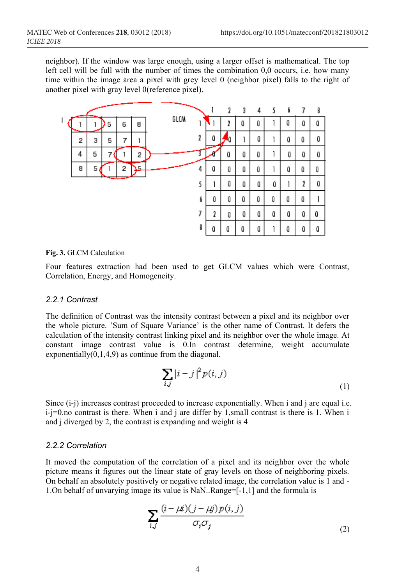neighbor). If the window was large enough, using a larger offset is mathematical. The top left cell will be full with the number of times the combination 0,0 occurs, i.e. how many time within the image area a pixel with grey level 0 (neighbor pixel) falls to the right of another pixel with gray level 0(reference pixel).



#### **Fig. 3.** GLCM Calculation

Four features extraction had been used to get GLCM values which were Contrast, Correlation, Energy, and Homogeneity.

#### *2.2.1 Contrast*

The definition of Contrast was the intensity contrast between a pixel and its neighbor over the whole picture. "Sum of Square Variance" is the other name of Contrast. It defers the calculation of the intensity contrast linking pixel and its neighbor over the whole image. At constant image contrast value is 0.In contrast determine, weight accumulate exponentially $(0,1,4,9)$  as continue from the diagonal.

$$
\sum_{i,j} |i-j|^2 p(i,j) \tag{1}
$$

Since (i-j) increases contrast proceeded to increase exponentially. When i and j are equal i.e. i-j=0.no contrast is there. When i and j are differ by 1,small contrast is there is 1. When i and j diverged by 2, the contrast is expanding and weight is 4

#### *2.2.2 Correlation*

It moved the computation of the correlation of a pixel and its neighbor over the whole picture means it figures out the linear state of gray levels on those of neighboring pixels. On behalf an absolutely positively or negative related image, the correlation value is 1 and - 1.On behalf of unvarying image its value is NaN..Range=[-1,1] and the formula is

$$
\sum_{i,j} \frac{(i - \mu i)(j - \mu j)p(i, j)}{\sigma_i \sigma_j} \tag{2}
$$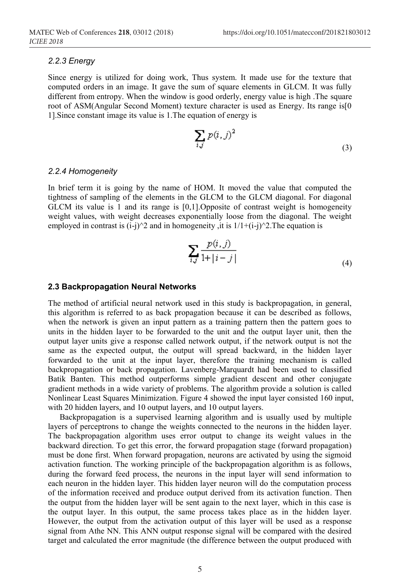#### *2.2.3 Energy*

Since energy is utilized for doing work, Thus system. It made use for the texture that computed orders in an image. It gave the sum of square elements in GLCM. It was fully different from entropy. When the window is good orderly, energy value is high .The square root of ASM(Angular Second Moment) texture character is used as Energy. Its range is[0 1].Since constant image its value is 1.The equation of energy is

$$
\sum_{i,j} p(i,j)^2 \tag{3}
$$

#### *2.2.4 Homogeneity*

In brief term it is going by the name of HOM. It moved the value that computed the tightness of sampling of the elements in the GLCM to the GLCM diagonal. For diagonal GLCM its value is 1 and its range is [0,1].Opposite of contrast weight is homogeneity weight values, with weight decreases exponentially loose from the diagonal. The weight employed in contrast is  $(i-j)^2$  and in homogeneity , it is  $1/1+(i-j)^2$ . The equation is

$$
\sum_{i,j} \frac{p(i,j)}{1+|i-j|} \tag{4}
$$

#### **2.3 Backpropagation Neural Networks**

The method of artificial neural network used in this study is backpropagation, in general, this algorithm is referred to as back propagation because it can be described as follows, when the network is given an input pattern as a training pattern then the pattern goes to units in the hidden layer to be forwarded to the unit and the output layer unit, then the output layer units give a response called network output, if the network output is not the same as the expected output, the output will spread backward, in the hidden layer forwarded to the unit at the input layer, therefore the training mechanism is called backpropagation or back propagation. Lavenberg-Marquardt had been used to classified Batik Banten. This method outperforms simple gradient descent and other conjugate gradient methods in a wide variety of problems. The algorithm provide a solution is called Nonlinear Least Squares Minimization. Figure 4 showed the input layer consisted 160 input, with 20 hidden layers, and 10 output layers, and 10 output layers.

Backpropagation is a supervised learning algorithm and is usually used by multiple layers of perceptrons to change the weights connected to the neurons in the hidden layer. The backpropagation algorithm uses error output to change its weight values in the backward direction. To get this error, the forward propagation stage (forward propagation) must be done first. When forward propagation, neurons are activated by using the sigmoid activation function. The working principle of the backpropagation algorithm is as follows, during the forward feed process, the neurons in the input layer will send information to each neuron in the hidden layer. This hidden layer neuron will do the computation process of the information received and produce output derived from its activation function. Then the output from the hidden layer will be sent again to the next layer, which in this case is the output layer. In this output, the same process takes place as in the hidden layer. However, the output from the activation output of this layer will be used as a response signal from Athe NN. This ANN output response signal will be compared with the desired target and calculated the error magnitude (the difference between the output produced with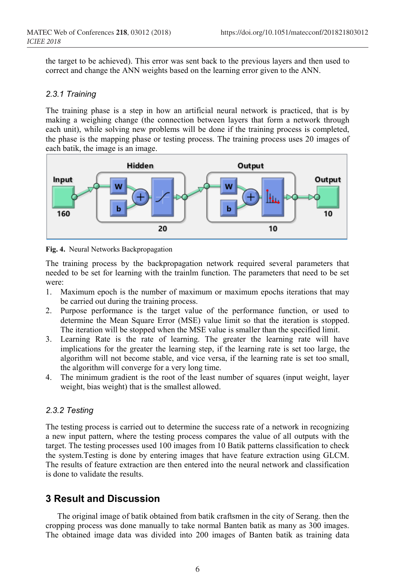the target to be achieved). This error was sent back to the previous layers and then used to correct and change the ANN weights based on the learning error given to the ANN.

#### *2.3.1 Training*

The training phase is a step in how an artificial neural network is practiced, that is by making a weighing change (the connection between layers that form a network through each unit), while solving new problems will be done if the training process is completed, the phase is the mapping phase or testing process. The training process uses 20 images of each batik, the image is an image.



**Fig. 4.** Neural Networks Backpropagation

The training process by the backpropagation network required several parameters that needed to be set for learning with the trainlm function. The parameters that need to be set were:

- 1. Maximum epoch is the number of maximum or maximum epochs iterations that may be carried out during the training process.
- 2. Purpose performance is the target value of the performance function, or used to determine the Mean Square Error (MSE) value limit so that the iteration is stopped. The iteration will be stopped when the MSE value is smaller than the specified limit.
- 3. Learning Rate is the rate of learning. The greater the learning rate will have implications for the greater the learning step, if the learning rate is set too large, the algorithm will not become stable, and vice versa, if the learning rate is set too small, the algorithm will converge for a very long time.
- 4. The minimum gradient is the root of the least number of squares (input weight, layer weight, bias weight) that is the smallest allowed.

#### *2.3.2 Testing*

The testing process is carried out to determine the success rate of a network in recognizing a new input pattern, where the testing process compares the value of all outputs with the target. The testing processes used 100 images from 10 Batik patterns classification to check the system.Testing is done by entering images that have feature extraction using GLCM. The results of feature extraction are then entered into the neural network and classification is done to validate the results.

# **3 Result and Discussion**

The original image of batik obtained from batik craftsmen in the city of Serang. then the cropping process was done manually to take normal Banten batik as many as 300 images. The obtained image data was divided into 200 images of Banten batik as training data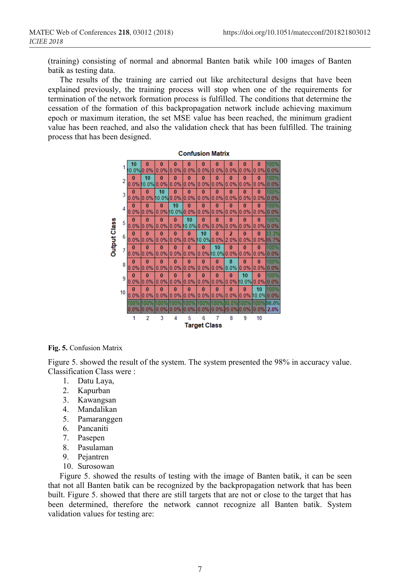(training) consisting of normal and abnormal Banten batik while 100 images of Banten batik as testing data.

The results of the training are carried out like architectural designs that have been explained previously, the training process will stop when one of the requirements for termination of the network formation process is fulfilled. The conditions that determine the cessation of the formation of this backpropagation network include achieving maximum epoch or maximum iteration, the set MSE value has been reached, the minimum gradient value has been reached, and also the validation check that has been fulfilled. The training process that has been designed.



**Fig. 5.** Confusion Matrix

Figure 5. showed the result of the system. The system presented the 98% in accuracy value. Classification Class were :

- 1. Datu Laya,
- 2. Kapurban
- 3. Kawangsan
- 4. Mandalikan
- 5. Pamaranggen
- 6. Pancaniti
- 7. Pasepen
- 8. Pasulaman
- 9. Pejantren
- 10. Surosowan

Figure 5. showed the results of testing with the image of Banten batik, it can be seen that not all Banten batik can be recognized by the backpropagation network that has been built. Figure 5. showed that there are still targets that are not or close to the target that has been determined, therefore the network cannot recognize all Banten batik. System validation values for testing are: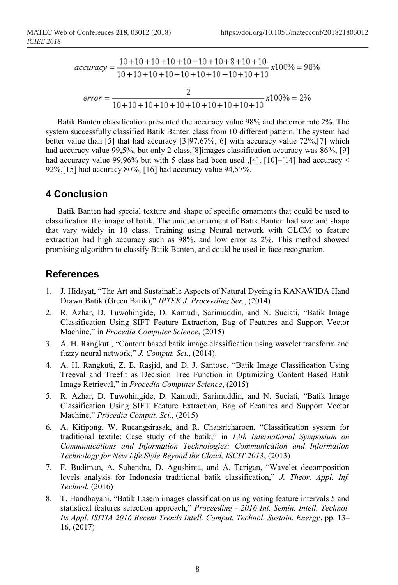$$
accuracy = \frac{10+10+10+10+10+10+10+8+10+10}{10+10+10+10+10+10+10+10+10+10+10}
$$

$$
error = \frac{2}{10+10+10+10+10+10+10+10+10+10+10}
$$

$$
x100\% = 2\%
$$

Batik Banten classification presented the accuracy value 98% and the error rate 2%. The system successfully classified Batik Banten class from 10 different pattern. The system had better value than [5] that had accuracy [3]97.67%,[6] with accuracy value 72%,[7] which had accuracy value 99,5%, but only 2 class, [8] images classification accuracy was 86%, [9] had accuracy value 99,96% but with 5 class had been used  $\left[4\right]$ ,  $\left[10\right]$ - $\left[14\right]$  had accuracy < 92%,[15] had accuracy 80%, [16] had accuracy value 94,57%.

### **4 Conclusion**

Batik Banten had special texture and shape of specific ornaments that could be used to classification the image of batik. The unique ornament of Batik Banten had size and shape that vary widely in 10 class. Training using Neural network with GLCM to feature extraction had high accuracy such as 98%, and low error as 2%. This method showed promising algorithm to classify Batik Banten, and could be used in face recognation.

### **References**

- 1. J. Hidayat, "The Art and Sustainable Aspects of Natural Dyeing in KANAWIDA Hand Drawn Batik (Green Batik)," *IPTEK J. Proceeding Ser.*, (2014)
- 2. R. Azhar, D. Tuwohingide, D. Kamudi, Sarimuddin, and N. Suciati, "Batik Image Classification Using SIFT Feature Extraction, Bag of Features and Support Vector Machine," in *Procedia Computer Science*, (2015)
- 3. A. H. Rangkuti, "Content based batik image classification using wavelet transform and fuzzy neural network," *J. Comput. Sci.*, (2014).
- 4. A. H. Rangkuti, Z. E. Rasjid, and D. J. Santoso, "Batik Image Classification Using Treeval and Treefit as Decision Tree Function in Optimizing Content Based Batik Image Retrieval," in *Procedia Computer Science*, (2015)
- 5. R. Azhar, D. Tuwohingide, D. Kamudi, Sarimuddin, and N. Suciati, "Batik Image Classification Using SIFT Feature Extraction, Bag of Features and Support Vector Machine," *Procedia Comput. Sci.*, (2015)
- 6. A. Kitipong, W. Rueangsirasak, and R. Chaisricharoen, "Classification system for traditional textile: Case study of the batik," in *13th International Symposium on Communications and Information Technologies: Communication and Information Technology for New Life Style Beyond the Cloud, ISCIT 2013*, (2013)
- 7. F. Budiman, A. Suhendra, D. Agushinta, and A. Tarigan, "Wavelet decomposition levels analysis for Indonesia traditional batik classification," *J. Theor. Appl. Inf. Technol.* (2016)
- 8. T. Handhayani, "Batik Lasem images classification using voting feature intervals 5 and statistical features selection approach," *Proceeding - 2016 Int. Semin. Intell. Technol. Its Appl. ISITIA 2016 Recent Trends Intell. Comput. Technol. Sustain. Energy*, pp. 13– 16, (2017)